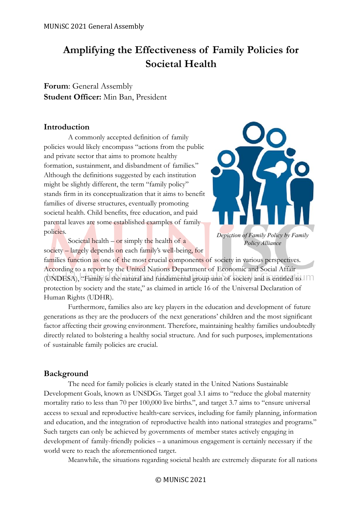# **Amplifying the Effectiveness of Family Policies for Societal Health**

**Forum**: General Assembly **Student Officer:** Min Ban, President

# **Introduction**

A commonly accepted definition of family policies would likely encompass "actions from the public and private sector that aims to promote healthy formation, sustainment, and disbandment of families." Although the definitions suggested by each institution might be slightly different, the term "family policy" stands firm in its conceptualization that it aims to benefit families of diverse structures, eventually promoting societal health. Child benefits, free education, and paid parental leaves are some established examples of family policies.



Societal health – or simply the health of  $\alpha$ society – largely depends on each family's well-being, for

families function as one of the most crucial components of society in various perspectives. According to a report by the United Nations Department of Economic and Social Affair (UNDESA), "Family is the natural and fundamental group unit of society and is entitled to protection by society and the state," as claimed in article 16 of the Universal Declaration of Human Rights (UDHR).

Furthermore, families also are key players in the education and development of future generations as they are the producers of the next generations' children and the most significant factor affecting their growing environment. Therefore, maintaining healthy families undoubtedly directly related to bolstering a healthy social structure. And for such purposes, implementations of sustainable family policies are crucial.

# **Background**

The need for family policies is clearly stated in the United Nations Sustainable Development Goals, known as UNSDGs. Target goal 3.1 aims to "reduce the global maternity mortality ratio to less than 70 per 100,000 live births.", and target 3.7 aims to "ensure universal access to sexual and reproductive health‐care services, including for family planning, information and education, and the integration of reproductive health into national strategies and programs." Such targets can only be achieved by governments of member states actively engaging in development of family-friendly policies – a unanimous engagement is certainly necessary if the world were to reach the aforementioned target.

Meanwhile, the situations regarding societal health are extremely disparate for all nations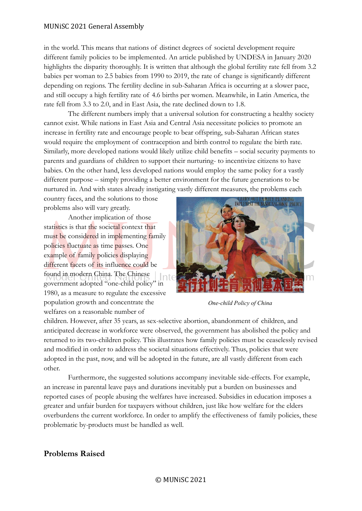in the world. This means that nations of distinct degrees of societal development require different family policies to be implemented. An article published by UNDESA in January 2020 highlights the disparity thoroughly. It is written that although the global fertility rate fell from 3.2 babies per woman to 2.5 babies from 1990 to 2019, the rate of change is significantly different depending on regions. The fertility decline in sub-Saharan Africa is occurring at a slower pace, and still occupy a high fertility rate of 4.6 births per women. Meanwhile, in Latin America, the rate fell from 3.3 to 2.0, and in East Asia, the rate declined down to 1.8.

The different numbers imply that a universal solution for constructing a healthy society cannot exist. While nations in East Asia and Central Asia necessitate policies to promote an increase in fertility rate and encourage people to bear offspring, sub-Saharan African states would require the employment of contraception and birth control to regulate the birth rate. Similarly, more developed nations would likely utilize child benefits – social security payments to parents and guardians of children to support their nurturing- to incentivize citizens to have babies. On the other hand, less developed nations would employ the same policy for a vastly different purpose – simply providing a better environment for the future generations to be nurtured in. And with states already instigating vastly different measures, the problems each

country faces, and the solutions to those problems also will vary greatly.

Another implication of those statistics is that the societal context that must be considered in implementing family policies fluctuate as time passes. One example of family policies displaying different facets of its influence could be found in modern China. The Chinese government adopted "one-child policy" in 1980, as a measure to regulate the excessive population growth and concentrate the welfares on a reasonable number of



*One-child Policy of China*

children. However, after 35 years, as sex-selective abortion, abandonment of children, and anticipated decrease in workforce were observed, the government has abolished the policy and returned to its two-children policy. This illustrates how family policies must be ceaselessly revised and modified in order to address the societal situations effectively. Thus, policies that were adopted in the past, now, and will be adopted in the future, are all vastly different from each other.

Furthermore, the suggested solutions accompany inevitable side-effects. For example, an increase in parental leave pays and durations inevitably put a burden on businesses and reported cases of people abusing the welfares have increased. Subsidies in education imposes a greater and unfair burden for taxpayers without children, just like how welfare for the elders overburdens the current workforce. In order to amplify the effectiveness of family policies, these problematic by-products must be handled as well.

# **Problems Raised**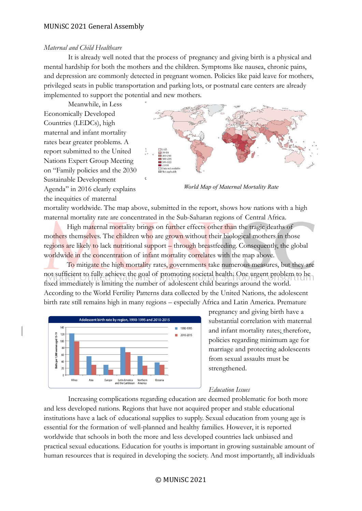#### *Maternal and Child Healthcare*

It is already well noted that the process of pregnancy and giving birth is a physical and mental hardship for both the mothers and the children. Symptoms like nausea, chronic pains, and depression are commonly detected in pregnant women. Policies like paid leave for mothers, privileged seats in public transportation and parking lots, or postnatal care centers are already implemented to support the potential and new mothers.

Meanwhile, in Less Economically Developed Countries (LEDCs), high maternal and infant mortality rates bear greater problems. A report submitted to the United Nations Expert Group Meeting on "Family policies and the 2030 Sustainable Development Agenda" in 2016 clearly explains the inequities of maternal



*World Map of Maternal Mortality Rate*

mortality worldwide. The map above, submitted in the report, shows how nations with a high maternal mortality rate are concentrated in the Sub-Saharan regions of Central Africa.

High maternal mortality brings on further effects other than the tragic deaths of mothers themselves. The children who are grown without their biological mothers in those regions are likely to lack nutritional support – through breastfeeding. Consequently, the global worldwide in the concentration of infant mortality correlates with the map above.

To mitigate the high mortality rates, governments take numerous measures, but they are not sufficient to fully achieve the goal of promoting societal health. One urgent problem to be fixed immediately is limiting the number of adolescent child bearings around the world. According to the World Fertility Patterns data collected by the United Nations, the adolescent birth rate still remains high in many regions – especially Africa and Latin America. Premature



pregnancy and giving birth have a substantial correlation with maternal and infant mortality rates; therefore, policies regarding minimum age for marriage and protecting adolescents from sexual assaults must be strengthened.

## *Education Issues*

Increasing complications regarding education are deemed problematic for both more and less developed nations. Regions that have not acquired proper and stable educational institutions have a lack of educational supplies to supply. Sexual education from young age is essential for the formation of well-planned and healthy families. However, it is reported worldwide that schools in both the more and less developed countries lack unbiased and practical sexual educations. Education for youths is important in growing sustainable amount of human resources that is required in developing the society. And most importantly, all individuals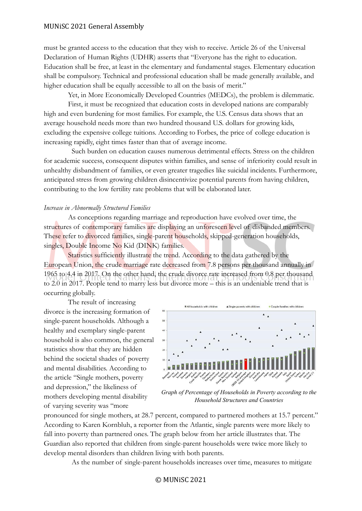must be granted access to the education that they wish to receive. Article 26 of the Universal Declaration of Human Rights (UDHR) asserts that "Everyone has the right to education. Education shall be free, at least in the elementary and fundamental stages. Elementary education shall be compulsory. Technical and professional education shall be made generally available, and higher education shall be equally accessible to all on the basis of merit."

Yet, in More Economically Developed Countries (MEDCs), the problem is dilemmatic. First, it must be recognized that education costs in developed nations are comparably

high and even burdening for most families. For example, the U.S. Census data shows that an average household needs more than two hundred thousand U.S. dollars for growing kids, excluding the expensive college tuitions. According to Forbes, the price of college education is increasing rapidly, eight times faster than that of average income.

Such burden on education causes numerous detrimental effects. Stress on the children for academic success, consequent disputes within families, and sense of inferiority could result in unhealthy disbandment of families, or even greater tragedies like suicidal incidents. Furthermore, anticipated stress from growing children disincentivize potential parents from having children, contributing to the low fertility rate problems that will be elaborated later.

#### *Increase in Abnormally Structured Families*

As conceptions regarding marriage and reproduction have evolved over time, the structures of contemporary families are displaying an unforeseen level of disbanded members. These refer to divorced families, single-parent households, skipped-generation households, singles, Double Income No Kid (DINK) families.

Statistics sufficiently illustrate the trend. According to the data gathered by the European Union, the crude marriage rate decreased from 7.8 persons per thousand annually in 1965 to 4.4 in 2017. On the other hand, the crude divorce rate increased from 0.8 per thousand to 2.0 in 2017. People tend to marry less but divorce more – this is an undeniable trend that is occurring globally.

The result of increasing divorce is the increasing formation of single-parent households. Although a healthy and exemplary single-parent household is also common, the general statistics show that they are hidden behind the societal shades of poverty and mental disabilities. According to the article "Single mothers, poverty and depression," the likeliness of mothers developing mental disability of varying severity was "more



*Graph of Percentage of Households in Poverty according to the Household Structures and Countries*

pronounced for single mothers, at 28.7 percent, compared to partnered mothers at 15.7 percent." According to Karen Kornbluh, a reporter from the Atlantic, single parents were more likely to fall into poverty than partnered ones. The graph below from her article illustrates that. The Guardian also reported that children from single-parent households were twice more likely to develop mental disorders than children living with both parents.

As the number of single-parent households increases over time, measures to mitigate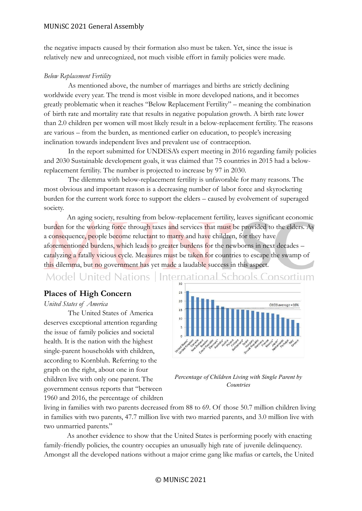the negative impacts caused by their formation also must be taken. Yet, since the issue is relatively new and unrecognized, not much visible effort in family policies were made.

## *Below Replacement Fertility*

As mentioned above, the number of marriages and births are strictly declining worldwide every year. The trend is most visible in more developed nations, and it becomes greatly problematic when it reaches "Below Replacement Fertility" – meaning the combination of birth rate and mortality rate that results in negative population growth. A birth rate lower than 2.0 children per women will most likely result in a below-replacement fertility. The reasons are various – from the burden, as mentioned earlier on education, to people's increasing inclination towards independent lives and prevalent use of contraception.

In the report submitted for UNDESA's expert meeting in 2016 regarding family policies and 2030 Sustainable development goals, it was claimed that 75 countries in 2015 had a belowreplacement fertility. The number is projected to increase by 97 in 2030.

The dilemma with below-replacement fertility is unfavorable for many reasons. The most obvious and important reason is a decreasing number of labor force and skyrocketing burden for the current work force to support the elders – caused by evolvement of superaged society.

An aging society, resulting from below-replacement fertility, leaves significant economic burden for the working force through taxes and services that must be provided to the elders. As a consequence, people become reluctant to marry and have children, for they have aforementioned burdens, which leads to greater burdens for the newborns in next decades – catalyzing a fatally vicious cycle. Measures must be taken for countries to escape the swamp of this dilemma, but no government has yet made a laudable success in this aspect.

Model United Nations | International Schools Consortium

## **Places of High Concern**

#### *United States of America*

The United States of America deserves exceptional attention regarding the issue of family policies and societal health. It is the nation with the highest single-parent households with children, according to Kornbluh. Referring to the graph on the right, about one in four children live with only one parent. The government census reports that "between 1960 and 2016, the percentage of children



*Percentage of Children Living with Single Parent by Countries*

living in families with two parents decreased from 88 to 69. Of those 50.7 million children living in families with two parents, 47.7 million live with two married parents, and 3.0 million live with two unmarried parents."

As another evidence to show that the United States is performing poorly with enacting family-friendly policies, the country occupies an unusually high rate of juvenile delinquency. Amongst all the developed nations without a major crime gang like mafias or cartels, the United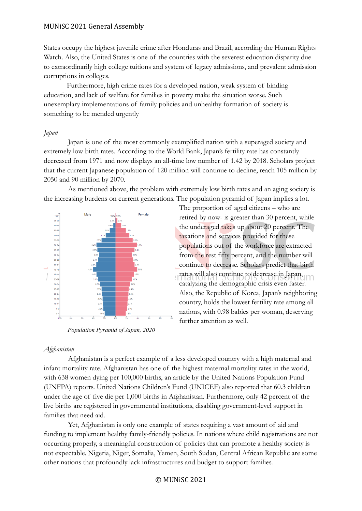States occupy the highest juvenile crime after Honduras and Brazil, according the Human Rights Watch. Also, the United States is one of the countries with the severest education disparity due to extraordinarily high college tuitions and system of legacy admissions, and prevalent admission corruptions in colleges.

Furthermore, high crime rates for a developed nation, weak system of binding education, and lack of welfare for families in poverty make the situation worse. Such unexemplary implementations of family policies and unhealthy formation of society is something to be mended urgently

#### *Japan*

Japan is one of the most commonly exemplified nation with a superaged society and extremely low birth rates. According to the World Bank, Japan's fertility rate has constantly decreased from 1971 and now displays an all-time low number of 1.42 by 2018. Scholars project that the current Japanese population of 120 million will continue to decline, reach 105 million by 2050 and 90 million by 2070.

As mentioned above, the problem with extremely low birth rates and an aging society is the increasing burdens on current generations. The population pyramid of Japan implies a lot.



*Population Pyramid of Japan, 2020*

retired by now- is greater than 30 percent, while the underaged takes up about 20 percent. The taxations and services provided for these populations out of the workforce are extracted from the rest fifty percent, and the number will continue to decrease. Scholars predict that birth rates will also continue to decrease in Japan, catalyzing the demographic crisis even faster. Also, the Republic of Korea, Japan's neighboring country, holds the lowest fertility rate among all nations, with 0.98 babies per woman, deserving further attention as well.

The proportion of aged citizens – who are

#### *Afghanistan*

Afghanistan is a perfect example of a less developed country with a high maternal and infant mortality rate. Afghanistan has one of the highest maternal mortality rates in the world, with 638 women dying per 100,000 births, an article by the United Nations Population Fund (UNFPA) reports. United Nations Children's Fund (UNICEF) also reported that 60.3 children under the age of five die per 1,000 births in Afghanistan. Furthermore, only 42 percent of the live births are registered in governmental institutions, disabling government-level support in families that need aid.

Yet, Afghanistan is only one example of states requiring a vast amount of aid and funding to implement healthy family-friendly policies. In nations where child registrations are not occurring properly, a meaningful construction of policies that can promote a healthy society is not expectable. Nigeria, Niger, Somalia, Yemen, South Sudan, Central African Republic are some other nations that profoundly lack infrastructures and budget to support families.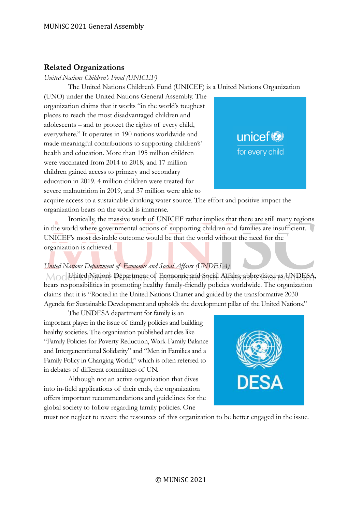# **Related Organizations**

*United Nations Children's Fund (UNICEF)*

The United Nations Children's Fund (UNICEF) is a United Nations Organization

(UNO) under the United Nations General Assembly. The organization claims that it works "in the world's toughest places to reach the most disadvantaged children and adolescents – and to protect the rights of every child, everywhere." It operates in 190 nations worldwide and made meaningful contributions to supporting children's' health and education. More than 195 million children were vaccinated from 2014 to 2018, and 17 million children gained access to primary and secondary education in 2019. 4 million children were treated for severe malnutrition in 2019, and 37 million were able to



acquire access to a sustainable drinking water source. The effort and positive impact the organization bears on the world is immense.

Ironically, the massive work of UNICEF rather implies that there are still many regions in the world where governmental actions of supporting children and families are insufficient. UNICEF's most desirable outcome would be that the world without the need for the organization is achieved.

# *United Nations Department of Economic and Social Affairs (UNDESA)*

 $M<sub>0</sub>$ United Nations Department of Economic and Social Affairs, abbreviated as UNDESA, bears responsibilities in promoting healthy family-friendly policies worldwide. The organization claims that it is "Rooted in the United Nations Charter and guided by the transformative 2030 Agenda for Sustainable Development and upholds the development pillar of the United Nations."

The UNDESA department for family is an important player in the issue of family policies and building healthy societies. The organization published articles like "Family Policies for Poverty Reduction, Work-Family Balance and Intergenerational Solidarity" and "Men in Families and a Family Policy in Changing World," which is often referred to in debates of different committees of UN.

Although not an active organization that dives into in-field applications of their ends, the organization offers important recommendations and guidelines for the global society to follow regarding family policies. One



must not neglect to revere the resources of this organization to be better engaged in the issue.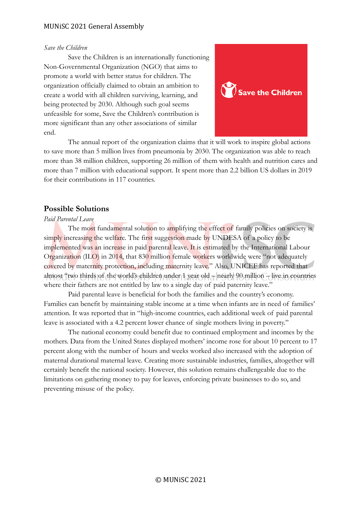#### *Save the Children*

Save the Children is an internationally functioning Non-Governmental Organization (NGO) that aims to promote a world with better status for children. The organization officially claimed to obtain an ambition to create a world with all children surviving, learning, and being protected by 2030. Although such goal seems unfeasible for some, Save the Children's contribution is more significant than any other associations of similar end.



The annual report of the organization claims that it will work to inspire global actions to save more than 5 million lives from pneumonia by 2030. The organization was able to reach more than 38 million children, supporting 26 million of them with health and nutrition cares and more than 7 million with educational support. It spent more than 2.2 billion US dollars in 2019 for their contributions in 117 countries.

# **Possible Solutions**

## *Paid Parental Leave*

The most fundamental solution to amplifying the effect of family policies on society is simply increasing the welfare. The first suggestion made by UNDESA of a policy to be implemented was an increase in paid parental leave. It is estimated by the International Labour Organization (ILO) in 2014, that 830 million female workers worldwide were "not adequately covered by maternity protection, including maternity leave." Also, UNICEF has reported that almost "two thirds of the world's children under 1 year old – nearly 90 million – live in countries where their fathers are not entitled by law to a single day of paid paternity leave."

Paid parental leave is beneficial for both the families and the country's economy. Families can benefit by maintaining stable income at a time when infants are in need of families' attention. It was reported that in "high-income countries, each additional week of paid parental leave is associated with a 4.2 percent lower chance of single mothers living in poverty."

The national economy could benefit due to continued employment and incomes by the mothers. Data from the United States displayed mothers' income rose for about 10 percent to 17 percent along with the number of hours and weeks worked also increased with the adoption of maternal durational maternal leave. Creating more sustainable industries, families, altogether will certainly benefit the national society. However, this solution remains challengeable due to the limitations on gathering money to pay for leaves, enforcing private businesses to do so, and preventing misuse of the policy.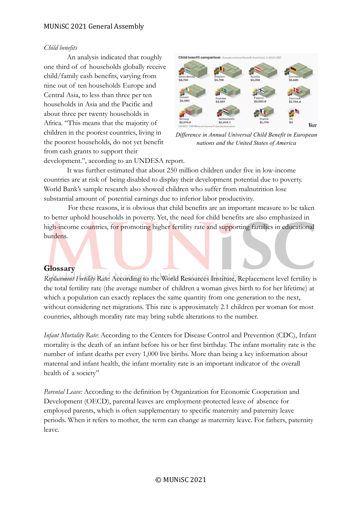#### *Child benefits*

An analysis indicated that roughly one third of of households globally receive child/family cash benefits, varying from nine out of ten households Europe and Central Asia, to less than three per ten households in Asia and the Pacific and about three per twenty households in Africa. "This means that the majority of children in the poorest countries, living in the poorest households, do not yet benefit from cash grants to support their



*Difference in Annual Universal Child Benefit in European nations and the United States of America*

development.", according to an UNDESA report.

It was further estimated that about 250 million children under five in low-income countries are at risk of being disabled to display their development potential due to poverty. World Bank's sample research also showed children who suffer from malnutrition lose substantial amount of potential earnings due to inferior labor productivity.

For these reasons, it is obvious that child benefits are an important measure to be taken to better uphold households in poverty. Yet, the need for child benefits are also emphasized in high-income countries, for promoting higher fertility rate and supporting families in educational burdens.

## **Glossary**

*Replacement Fertility Rate*: According to the World Resources Institute, Replacement level fertility is the total fertility rate (the average number of children a woman gives birth to for her lifetime) at which a population can exactly replaces the same quantity from one generation to the next, without considering net migrations. This rate is approximately 2.1 children per woman for most countries, although morality rate may bring subtle alterations to the number.

*Infant Mortality Rate*: According to the Centers for Disease Control and Prevention (CDC), Infant mortality is the death of an infant before his or her first birthday. The infant mortality rate is the number of infant deaths per every 1,000 live births. More than being a key information about maternal and infant health, the infant mortality rate is an important indicator of the overall health of a society"

*Parental Leave:* According to the definition by Organization for Economic Cooperation and Development (OECD), parental leaves are employment-protected leave of absence for employed parents, which is often supplementary to specific maternity and paternity leave periods. When it refers to mother, the term can change as maternity leave. For fathers, paternity leave.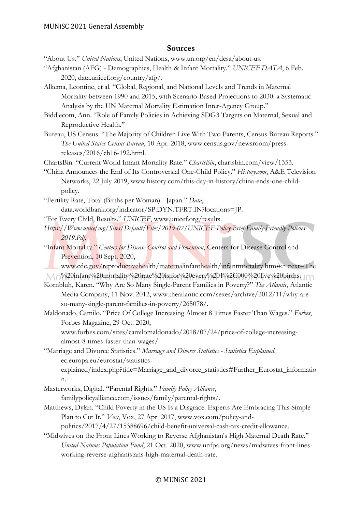## **Sources**

"About Us." *United Nations*, United Nations, www.un.org/en/desa/about-us.

- "Afghanistan (AFG) Demographics, Health & Infant Mortality." *UNICEF DATA*, 6 Feb. 2020, data.unicef.org/country/afg/.
- Alkema, Leontine, et al. "Global, Regional, and National Levels and Trends in Maternal Mortality between 1990 and 2015, with Scenario-Based Projections to 2030: a Systematic Analysis by the UN Maternal Mortality Estimation Inter-Agency Group."
- Biddlecom, Ann. "Role of Family Policies in Achieving SDG3 Targets on Maternal, Sexual and Reproductive Health."
- Bureau, US Census. "The Majority of Children Live With Two Parents, Census Bureau Reports." *The United States Census Bureau*, 10 Apr. 2018, www.census.gov/newsroom/pressreleases/2016/cb16-192.html.

ChartsBin. "Current World Infant Mortality Rate." *ChartsBin*, chartsbin.com/view/1353.

- "China Announces the End of Its Controversial One-Child Policy." *History.com*, A&E Television Networks, 22 July 2019, www.history.com/this-day-in-history/china-ends-one-childpolicy.
- "Fertility Rate, Total (Births per Woman) Japan." *Data*, data.worldbank.org/indicator/SP.DYN.TFRT.IN?locations=JP.
- "For Every Child, Results." *UNICEF*, www.unicef.org/results.
- *Https://Www.unicef.org/Sites/Default/Files/2019-07/UNICEF-Policy-Brief-Family-Friendly-Policies-2019.Pdf*.
- "Infant Mortality." *Centers for Disease Control and Prevention*, Centers for Disease Control and Prevention, 10 Sept. 2020,
- www.cdc.gov/reproductivehealth/maternalinfanthealth/infantmortality.htm#:~:text=The  $\bigwedge \bigwedge$  %20infant%20mortality%20rate%20is,for%20every%201%2C000%20live%20births.
- Kornbluh, Karen. "Why Are So Many Single-Parent Families in Poverty?" *The Atlantic*, Atlantic Media Company, 11 Nov. 2012, www.theatlantic.com/sexes/archive/2012/11/why-areso-many-single-parent-families-in-poverty/265078/.
- Maldonado, Camilo. "Price Of College Increasing Almost 8 Times Faster Than Wages." *Forbes*, Forbes Magazine, 29 Oct. 2020,
	- www.forbes.com/sites/camilomaldonado/2018/07/24/price-of-college-increasingalmost-8-times-faster-than-wages/.
- "Marriage and Divorce Statistics." *Marriage and Divorce Statistics - Statistics Explained*, ec.europa.eu/eurostat/statistics-

explained/index.php?title=Marriage\_and\_divorce\_statistics#Further\_Eurostat\_informatio n.

Masterworks, Digital. "Parental Rights." *Family Policy Alliance*,

familypolicyalliance.com/issues/family/parental-rights/.

Matthews, Dylan. "Child Poverty in the US Is a Disgrace. Experts Are Embracing This Simple Plan to Cut It." *Vox*, Vox, 27 Apr. 2017, www.vox.com/policy-and-

politics/2017/4/27/15388696/child-benefit-universal-cash-tax-credit-allowance.

"Midwives on the Front Lines Working to Reverse Afghanistan's High Maternal Death Rate." *United Nations Population Fund*, 21 Oct. 2020, www.unfpa.org/news/midwives-front-linesworking-reverse-afghanistans-high-maternal-death-rate.